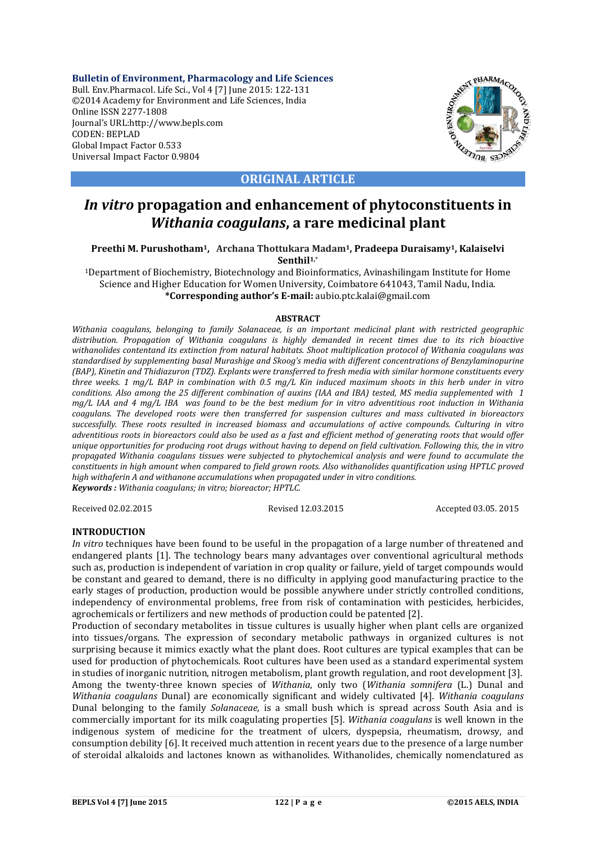**Bulletin of Environment, Pharmacology and Life Sciences** Bull. Env.Pharmacol. Life Sci., Vol 4 [7] June 2015: 122-131 ©2014 Academy for Environment and Life Sciences, India Online ISSN 2277-1808 Journal's URL:http://www.bepls.com CODEN: BEPLAD Global Impact Factor 0.533 Universal Impact Factor 0.9804



**ORIGINAL ARTICLE**

# *In vitro* **propagation and enhancement of phytoconstituents in**  *Withania coagulans***, a rare medicinal plant**

**Preethi M. Purushotham1, Archana Thottukara Madam1, Pradeepa Duraisamy1, Kalaiselvi Senthil1,**\*

1Department of Biochemistry, Biotechnology and Bioinformatics, Avinashilingam Institute for Home Science and Higher Education for Women University, Coimbatore 641043, Tamil Nadu, India. **\*Corresponding author's E-mail:** aubio.ptc.kalai@gmail.com

#### **ABSTRACT**

*Withania coagulans, belonging to family Solanaceae, is an important medicinal plant with restricted geographic distribution. Propagation of Withania coagulans is highly demanded in recent times due to its rich bioactive withanolides contentand its extinction from natural habitats. Shoot multiplication protocol of Withania coagulans was standardised by supplementing basal Murashige and Skoog's media with different concentrations of Benzylaminopurine (BAP), Kinetin and Thidiazuron (TDZ). Explants were transferred to fresh media with similar hormone constituents every three weeks. 1 mg/L BAP in combination with 0.5 mg/L Kin induced maximum shoots in this herb under in vitro conditions. Also among the 25 different combination of auxins (IAA and IBA) tested, MS media supplemented with 1 mg/L IAA and 4 mg/L IBA was found to be the best medium for in vitro adventitious root induction in Withania coagulans. The developed roots were then transferred for suspension cultures and mass cultivated in bioreactors successfully. These roots resulted in increased biomass and accumulations of active compounds. Culturing in vitro adventitious roots in bioreactors could also be used as a fast and efficient method of generating roots that would offer unique opportunities for producing root drugs without having to depend on field cultivation. Following this, the in vitro propagated Withania coagulans tissues were subjected to phytochemical analysis and were found to accumulate the constituents in high amount when compared to field grown roots. Also withanolides quantification using HPTLC proved high withaferin A and withanone accumulations when propagated under in vitro conditions. Keywords : Withania coagulans; in vitro; bioreactor; HPTLC.*

Received 02.02.2015 Revised 12.03.2015 Accepted 03.05. 2015

### **INTRODUCTION**

*In vitro* techniques have been found to be useful in the propagation of a large number of threatened and endangered plants [1]. The technology bears many advantages over conventional agricultural methods such as, production is independent of variation in crop quality or failure, yield of target compounds would be constant and geared to demand, there is no difficulty in applying good manufacturing practice to the early stages of production, production would be possible anywhere under strictly controlled conditions, independency of environmental problems, free from risk of contamination with pesticides, herbicides, agrochemicals or fertilizers and new methods of production could be patented [2].

Production of secondary metabolites in tissue cultures is usually higher when plant cells are organized into tissues/organs. The expression of secondary metabolic pathways in organized cultures is not surprising because it mimics exactly what the plant does. Root cultures are typical examples that can be used for production of phytochemicals. Root cultures have been used as a standard experimental system in studies of inorganic nutrition, nitrogen metabolism, plant growth regulation, and root development [3]. Among the twenty-three known species of *Withania*, only two (*Withania somnifera* (L.) Dunal and *Withania coagulans* Dunal) are economically significant and widely cultivated [4]. *Withania coagulans* Dunal belonging to the family *Solanaceae,* is a small bush which is spread across South Asia and is commercially important for its milk coagulating properties [5]. *Withania coagulans* is well known in the indigenous system of medicine for the treatment of ulcers, dyspepsia, rheumatism, drowsy, and consumption debility [6]. It received much attention in recent years due to the presence of a large number of steroidal alkaloids and lactones known as withanolides. Withanolides, chemically nomenclatured as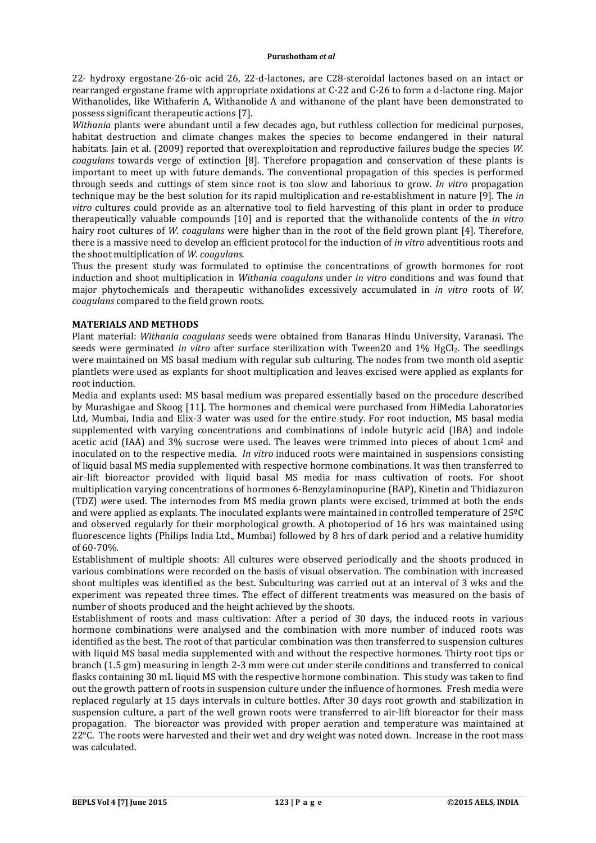22- hydroxy ergostane-26-oic acid 26, 22-d-lactones, are C28-steroidal lactones based on an intact or rearranged ergostane frame with appropriate oxidations at C-22 and C-26 to form a d-lactone ring. Major Withanolides, like Withaferin A, Withanolide A and withanone of the plant have been demonstrated to possess significant therapeutic actions [7].

*Withania* plants were abundant until a few decades ago, but ruthless collection for medicinal purposes, habitat destruction and climate changes makes the species to become endangered in their natural habitats. Jain et al. (2009) reported that overexploitation and reproductive failures budge the species *W. coagulans* towards verge of extinction [8]. Therefore propagation and conservation of these plants is important to meet up with future demands. The conventional propagation of this species is performed through seeds and cuttings of stem since root is too slow and laborious to grow. *In vitro* propagation technique may be the best solution for its rapid multiplication and re-establishment in nature [9]. The *in vitro* cultures could provide as an alternative tool to field harvesting of this plant in order to produce therapeutically valuable compounds [10] and is reported that the withanolide contents of the *in vitro* hairy root cultures of *W. coagulans* were higher than in the root of the field grown plant [4]. Therefore, there is a massive need to develop an efficient protocol for the induction of *in vitro* adventitious roots and the shoot multiplication of *W. coagulans.*

Thus the present study was formulated to optimise the concentrations of growth hormones for root induction and shoot multiplication in *Withania coagulans* under *in vitro* conditions and was found that major phytochemicals and therapeutic withanolides excessively accumulated in *in vitro* roots of *W. coagulans* compared to the field grown roots.

## **MATERIALS AND METHODS**

Plant material: *Withania coagulans* seeds were obtained from Banaras Hindu University, Varanasi. The seeds were germinated *in vitro* after surface sterilization with Tween20 and 1% HgCl<sub>2</sub>. The seedlings were maintained on MS basal medium with regular sub culturing. The nodes from two month old aseptic plantlets were used as explants for shoot multiplication and leaves excised were applied as explants for root induction.

Media and explants used: MS basal medium was prepared essentially based on the procedure described by Murashigae and Skoog [11]. The hormones and chemical were purchased from HiMedia Laboratories Ltd, Mumbai, India and Elix-3 water was used for the entire study. For root induction, MS basal media supplemented with varying concentrations and combinations of indole butyric acid (IBA) and indole acetic acid (IAA) and 3% sucrose were used. The leaves were trimmed into pieces of about 1cm2 and inoculated on to the respective media. *In vitro* induced roots were maintained in suspensions consisting of liquid basal MS media supplemented with respective hormone combinations. It was then transferred to air-lift bioreactor provided with liquid basal MS media for mass cultivation of roots. For shoot multiplication varying concentrations of hormones 6-Benzylaminopurine (BAP), Kinetin and Thidiazuron (TDZ) *w*ere used. The internodes from MS media grown plants were excised, trimmed at both the ends and were applied as explants. The inoculated explants were maintained in controlled temperature of 25ºC and observed regularly for their morphological growth. A photoperiod of 16 hrs was maintained using fluorescence lights (Philips India Ltd., Mumbai) followed by 8 hrs of dark period and a relative humidity of 60-70%.

Establishment of multiple shoots: All cultures were observed periodically and the shoots produced in various combinations were recorded on the basis of visual observation. The combination with increased shoot multiples was identified as the best. Subculturing was carried out at an interval of 3 wks and the experiment was repeated three times. The effect of different treatments was measured on the basis of number of shoots produced and the height achieved by the shoots.

Establishment of roots and mass cultivation: After a period of 30 days, the induced roots in various hormone combinations were analysed and the combination with more number of induced roots was identified as the best. The root of that particular combination was then transferred to suspension cultures with liquid MS basal media supplemented with and without the respective hormones. Thirty root tips or branch (1.5 gm) measuring in length 2-3 mm were cut under sterile conditions and transferred to conical flasks containing 30 mL liquid MS with the respective hormone combination. This study was taken to find out the growth pattern of roots in suspension culture under the influence of hormones. Fresh media were replaced regularly at 15 days intervals in culture bottles. After 30 days root growth and stabilization in suspension culture, a part of the well grown roots were transferred to air-lift bioreactor for their mass propagation. The bioreactor was provided with proper aeration and temperature was maintained at  $22^{\circ}$ C. The roots were harvested and their wet and dry weight was noted down. Increase in the root mass was calculated.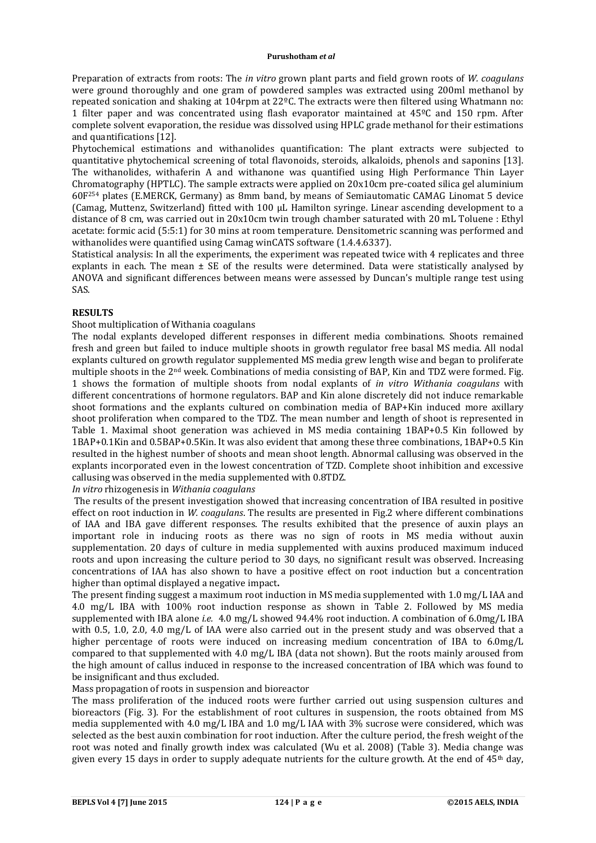Preparation of extracts from roots: The *in vitro* grown plant parts and field grown roots of *W. coagulans* were ground thoroughly and one gram of powdered samples was extracted using 200ml methanol by repeated sonication and shaking at 104rpm at 22ºC. The extracts were then filtered using Whatmann no: 1 filter paper and was concentrated using flash evaporator maintained at 45ºC and 150 rpm. After complete solvent evaporation, the residue was dissolved using HPLC grade methanol for their estimations and quantifications [12].

Phytochemical estimations and withanolides quantification: The plant extracts were subjected to quantitative phytochemical screening of total flavonoids, steroids, alkaloids, phenols and saponins [13]. The withanolides, withaferin A and withanone was quantified using High Performance Thin Layer Chromatography (HPTLC). The sample extracts were applied on 20x10cm pre-coated silica gel aluminium 60F254 plates (E.MERCK, Germany) as 8mm band, by means of Semiautomatic CAMAG Linomat 5 device (Camag, Muttenz, Switzerland) fitted with 100 μL Hamilton syringe. Linear ascending development to a distance of 8 cm, was carried out in 20x10cm twin trough chamber saturated with 20 mL Toluene : Ethyl acetate: formic acid (5:5:1) for 30 mins at room temperature. Densitometric scanning was performed and withanolides were quantified using Camag winCATS software (1.4.4.6337).

Statistical analysis: In all the experiments, the experiment was repeated twice with 4 replicates and three explants in each. The mean  $\pm$  SE of the results were determined. Data were statistically analysed by ANOVA and significant differences between means were assessed by Duncan's multiple range test using SAS.

### **RESULTS**

### Shoot multiplication of Withania coagulans

The nodal explants developed different responses in different media combinations. Shoots remained fresh and green but failed to induce multiple shoots in growth regulator free basal MS media. All nodal explants cultured on growth regulator supplemented MS media grew length wise and began to proliferate multiple shoots in the 2nd week. Combinations of media consisting of BAP, Kin and TDZ were formed. Fig. 1 shows the formation of multiple shoots from nodal explants of *in vitro Withania coagulans* with different concentrations of hormone regulators. BAP and Kin alone discretely did not induce remarkable shoot formations and the explants cultured on combination media of BAP+Kin induced more axillary shoot proliferation when compared to the TDZ. The mean number and length of shoot is represented in Table 1. Maximal shoot generation was achieved in MS media containing 1BAP+0.5 Kin followed by 1BAP+0.1Kin and 0.5BAP+0.5Kin. It was also evident that among these three combinations, 1BAP+0.5 Kin resulted in the highest number of shoots and mean shoot length. Abnormal callusing was observed in the explants incorporated even in the lowest concentration of TZD. Complete shoot inhibition and excessive callusing was observed in the media supplemented with 0.8TDZ.

*In vitro* rhizogenesis in *Withania coagulans*

The results of the present investigation showed that increasing concentration of IBA resulted in positive effect on root induction in *W. coagulans*. The results are presented in Fig.2 where different combinations of IAA and IBA gave different responses. The results exhibited that the presence of auxin plays an important role in inducing roots as there was no sign of roots in MS media without auxin supplementation. 20 days of culture in media supplemented with auxins produced maximum induced roots and upon increasing the culture period to 30 days, no significant result was observed. Increasing concentrations of IAA has also shown to have a positive effect on root induction but a concentration higher than optimal displayed a negative impact**.**

The present finding suggest a maximum root induction in MS media supplemented with 1.0 mg/L IAA and 4.0 mg/L IBA with 100% root induction response as shown in Table 2. Followed by MS media supplemented with IBA alone *i.e.* 4.0 mg/L showed 94.4% root induction. A combination of 6.0mg/L IBA with 0.5, 1.0, 2.0, 4.0 mg/L of IAA were also carried out in the present study and was observed that a higher percentage of roots were induced on increasing medium concentration of IBA to 6.0mg/L compared to that supplemented with 4.0 mg/L IBA (data not shown). But the roots mainly aroused from the high amount of callus induced in response to the increased concentration of IBA which was found to be insignificant and thus excluded.

## Mass propagation of roots in suspension and bioreactor

The mass proliferation of the induced roots were further carried out using suspension cultures and bioreactors (Fig. 3). For the establishment of root cultures in suspension, the roots obtained from MS media supplemented with 4.0 mg/L IBA and 1.0 mg/L IAA with 3% sucrose were considered, which was selected as the best auxin combination for root induction. After the culture period, the fresh weight of the root was noted and finally growth index was calculated (Wu et al. 2008) (Table 3). Media change was given every 15 days in order to supply adequate nutrients for the culture growth. At the end of  $45<sup>th</sup>$  day,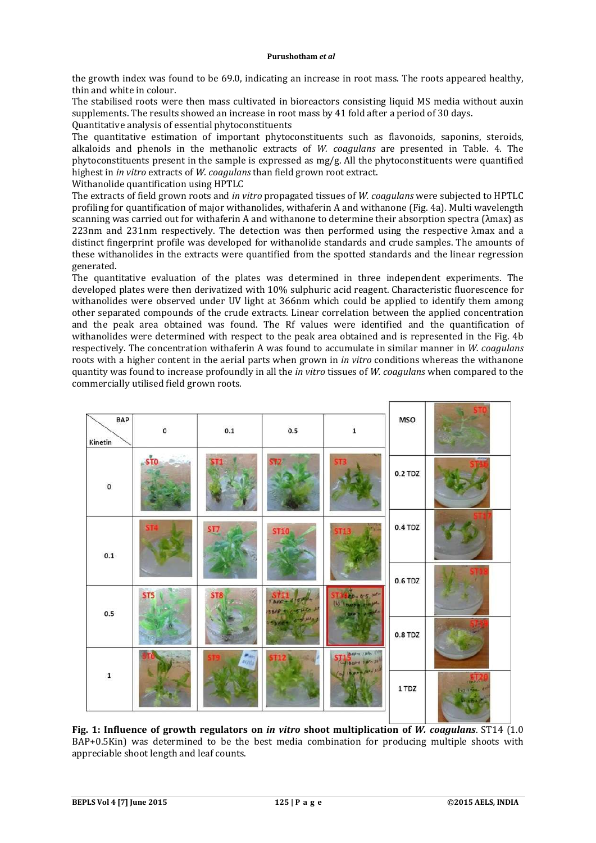the growth index was found to be 69.0, indicating an increase in root mass. The roots appeared healthy, thin and white in colour.

The stabilised roots were then mass cultivated in bioreactors consisting liquid MS media without auxin supplements. The results showed an increase in root mass by 41 fold after a period of 30 days.

Quantitative analysis of essential phytoconstituents

The quantitative estimation of important phytoconstituents such as flavonoids, saponins, steroids, alkaloids and phenols in the methanolic extracts of *W. coagulans* are presented in Table. 4. The phytoconstituents present in the sample is expressed as  $mg/g$ . All the phytoconstituents were quantified highest in *in vitro* extracts of *W. coagulans* than field grown root extract.

Withanolide quantification using HPTLC

The extracts of field grown roots and *in vitro* propagated tissues of *W. coagulans* were subjected to HPTLC profiling for quantification of major withanolides, withaferin A and withanone (Fig. 4a). Multi wavelength scanning was carried out for withaferin A and withanone to determine their absorption spectra (λmax) as 223nm and 231nm respectively. The detection was then performed using the respective λmax and a distinct fingerprint profile was developed for withanolide standards and crude samples. The amounts of these withanolides in the extracts were quantified from the spotted standards and the linear regression generated.

The quantitative evaluation of the plates was determined in three independent experiments. The developed plates were then derivatized with 10% sulphuric acid reagent. Characteristic fluorescence for withanolides were observed under UV light at 366nm which could be applied to identify them among other separated compounds of the crude extracts. Linear correlation between the applied concentration and the peak area obtained was found. The Rf values were identified and the quantification of withanolides were determined with respect to the peak area obtained and is represented in the Fig. 4b respectively. The concentration withaferin A was found to accumulate in similar manner in *W. coagulans* roots with a higher content in the aerial parts when grown in *in vitro* conditions whereas the withanone quantity was found to increase profoundly in all the *in vitro* tissues of *W. coagulans* when compared to the commercially utilised field grown roots.



**Fig. 1: Influence of growth regulators on** *in vitro* **shoot multiplication of** *W. coagulans*. ST14 (1.0 BAP+0.5Kin) was determined to be the best media combination for producing multiple shoots with appreciable shoot length and leaf counts.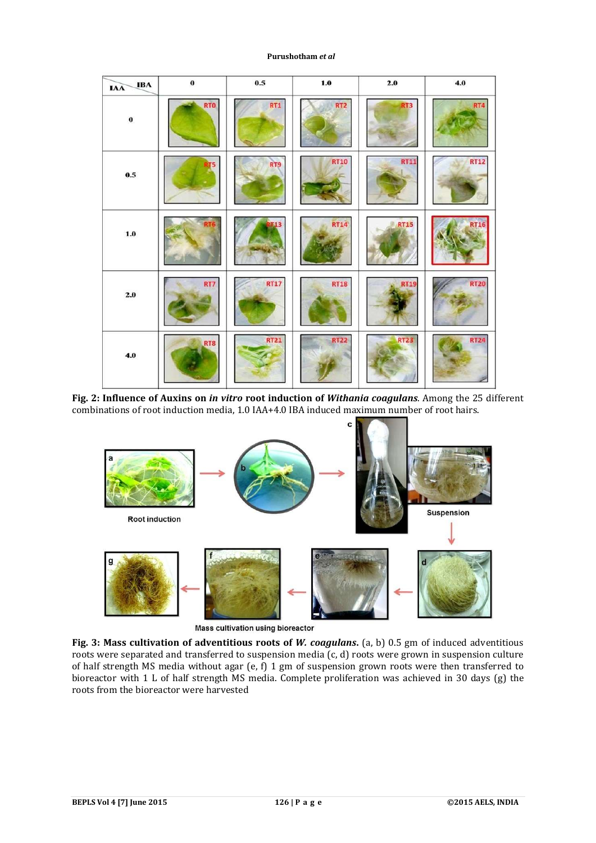| <b>IBA</b><br><b>IAA</b> | $\mathbf 0$ | $0.5\,$     | $1.0\,$         | $2.0$           | $4.0\,$     |
|--------------------------|-------------|-------------|-----------------|-----------------|-------------|
| $\boldsymbol{0}$         | <b>RTO</b>  | RT1         | RT <sub>2</sub> | RT <sub>3</sub> | RT4         |
| $0.5\,$                  |             | <b>RT9</b>  | <b>RT10</b>     | <b>RT11</b>     | <b>RT12</b> |
| $1.0\,$                  |             | 13          | <b>RT14</b>     | <b>RT15</b>     | <b>RT16</b> |
| $2.0\,$                  | RT7         | <b>RT17</b> | <b>RT18</b>     | <b>RT19</b>     | <b>RT20</b> |
| $4.0$                    | RT8         | <b>RT21</b> | <b>RT22</b>     | <b>RT23</b>     | <b>RT24</b> |

**Fig. 2: Influence of Auxins on** *in vitro* **root induction of** *Withania coagulans*. Among the 25 different combinations of root induction media, 1.0 IAA+4.0 IBA induced maximum number of root hairs.



**Mass cultivation using bioreactor** 

**Fig. 3: Mass cultivation of adventitious roots of** *W. coagulans***.** (a, b) 0.5 gm of induced adventitious roots were separated and transferred to suspension media (c, d) roots were grown in suspension culture of half strength MS media without agar (e, f) 1 gm of suspension grown roots were then transferred to bioreactor with 1 L of half strength MS media. Complete proliferation was achieved in 30 days (g) the roots from the bioreactor were harvested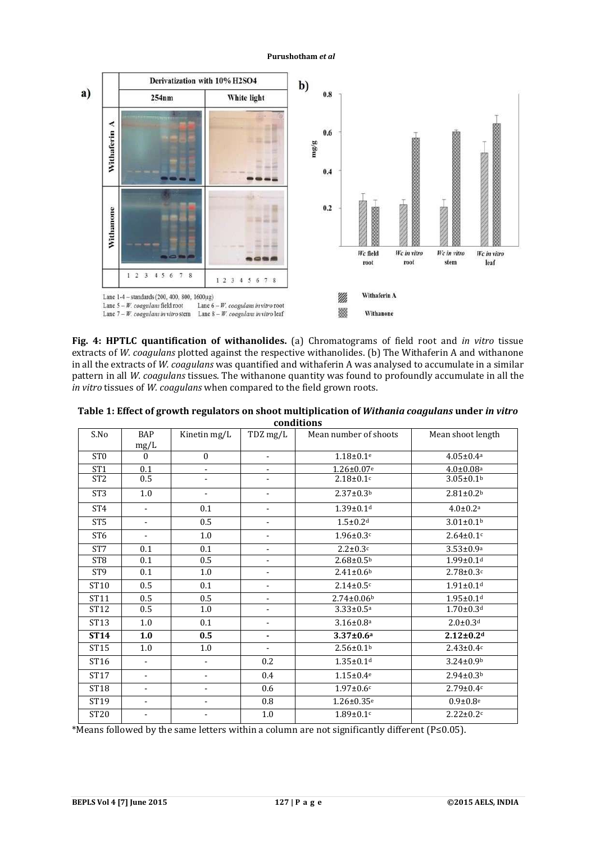

**Fig. 4: HPTLC quantification of withanolides.** (a) Chromatograms of field root and *in vitro* tissue extracts of *W. coagulans* plotted against the respective withanolides. (b) The Withaferin A and withanone in all the extracts of *W. coagulans* was quantified and withaferin A was analysed to accumulate in a similar pattern in all *W. coagulans* tissues. The withanone quantity was found to profoundly accumulate in all the *in vitro* tissues of *W. coagulans* when compared to the field grown roots.

| conquions       |                          |                          |                              |                              |                             |  |
|-----------------|--------------------------|--------------------------|------------------------------|------------------------------|-----------------------------|--|
| S.No            | <b>BAP</b><br>mg/L       | Kinetin mg/L             | TDZ mg/L                     | Mean number of shoots        | Mean shoot length           |  |
| ST <sub>0</sub> | $\Omega$                 | $\mathbf{0}$             | $\blacksquare$               | $1.18 \pm 0.1$ <sup>e</sup>  | $4.05 \pm 0.4$ <sup>a</sup> |  |
| ST <sub>1</sub> | 0.1                      |                          |                              | $1.26 \pm 0.07$ e            | $4.0 \pm 0.08$ <sup>a</sup> |  |
| ST <sub>2</sub> | 0.5                      |                          | $\overline{\phantom{a}}$     | $2.18 \pm 0.1$ c             | $3.05 \pm 0.1$ <sup>b</sup> |  |
| ST <sub>3</sub> | 1.0                      | ÷,                       | $\overline{\phantom{a}}$     | $2.37 \pm 0.3b$              | $2.81 \pm 0.2$ <sup>b</sup> |  |
| ST <sub>4</sub> | $\blacksquare$           | 0.1                      | $\overline{\phantom{a}}$     | $1.39 \pm 0.1$ <sup>d</sup>  | $4.0 \pm 0.2$ <sup>a</sup>  |  |
| ST <sub>5</sub> | $\overline{\phantom{a}}$ | 0.5                      | ٠                            | $1.5 \pm 0.2$ <sup>d</sup>   | $3.01 \pm 0.1$ <sup>b</sup> |  |
| ST <sub>6</sub> | $\overline{\phantom{0}}$ | 1.0                      | $\overline{\phantom{0}}$     | $1.96 \pm 0.3$ c             | $2.64 \pm 0.1$ c            |  |
| ST7             | 0.1                      | 0.1                      | $\blacksquare$               | $2.2 \pm 0.3c$               | $3.53 \pm 0.9^a$            |  |
| ST <sub>8</sub> | 0.1                      | 0.5                      | $\overline{\phantom{a}}$     | $2.68 \pm 0.5$ <sup>b</sup>  | $1.99 \pm 0.1$ d            |  |
| ST <sub>9</sub> | 0.1                      | 1.0                      | $\qquad \qquad \blacksquare$ | $2.41 \pm 0.6$ <sup>b</sup>  | $2.78 \pm 0.3$ c            |  |
| ST10            | 0.5                      | 0.1                      | $\blacksquare$               | $2.14 \pm 0.5$ c             | $1.91 \pm 0.1$ <sup>d</sup> |  |
| ST11            | 0.5                      | 0.5                      | $\blacksquare$               | $2.74 \pm 0.06$ <sup>b</sup> | $1.95 \pm 0.1$ <sup>d</sup> |  |
| ST12            | 0.5                      | 1.0                      | $\overline{\phantom{a}}$     | $3.33 \pm 0.5^{\text{a}}$    | $1.70 \pm 0.3$ d            |  |
| ST13            | 1.0                      | 0.1                      | $\overline{\phantom{a}}$     | $3.16 \pm 0.8^{\text{a}}$    | $2.0 \pm 0.3$ <sup>d</sup>  |  |
| <b>ST14</b>     | 1.0                      | 0.5                      | ٠                            | $3.37 \pm 0.6^a$             | $2.12 \pm 0.2$ d            |  |
| ST15            | 1.0                      | 1.0                      | $\overline{\phantom{a}}$     | $2.56 \pm 0.1$ <sup>b</sup>  | $2.43 \pm 0.4c$             |  |
| ST16            | $\blacksquare$           | $\overline{\phantom{0}}$ | 0.2                          | $1.35 \pm 0.1$ d             | $3.24 \pm 0.9$ <sup>b</sup> |  |
| <b>ST17</b>     |                          |                          | 0.4                          | $1.15 \pm 0.4$ <sup>e</sup>  | $2.94 \pm 0.3b$             |  |
| ST18            | $\overline{\phantom{a}}$ | $\overline{\phantom{0}}$ | 0.6                          | $1.97 \pm 0.6c$              | $2.79 \pm 0.4c$             |  |
| ST19            | $\blacksquare$           | $\overline{\phantom{a}}$ | 0.8                          | $1.26 \pm 0.35$ <sup>e</sup> | $0.9 \pm 0.8$ <sup>e</sup>  |  |
| <b>ST20</b>     | ٠                        |                          | 1.0                          | $1.89 \pm 0.1$ c             | $2.22 \pm 0.2c$             |  |

**Table 1: Effect of growth regulators on shoot multiplication of** *Withania coagulans* **under** *in vitro* **conditions**

\*Means followed by the same letters within a column are not significantly different (P≤0.05).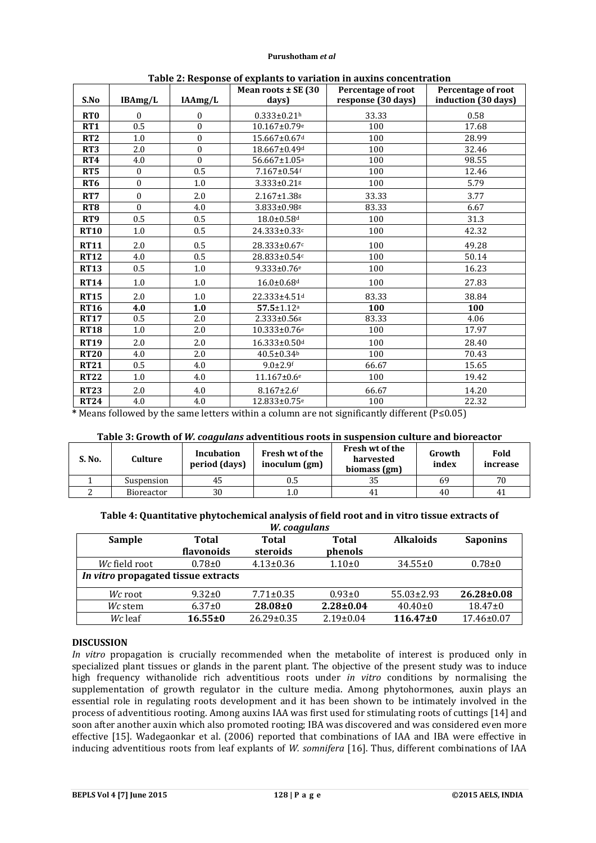|                 |                  |                  | Mean roots $\pm$ SE (30)      | Percentage of root |                     |  |
|-----------------|------------------|------------------|-------------------------------|--------------------|---------------------|--|
| S.No            | IBAmg/L          | IAAmg/L          | days)                         | response (30 days) | induction (30 days) |  |
| RT <sub>0</sub> | $\theta$         | $\boldsymbol{0}$ | $0.333 \pm 0.21$ <sup>h</sup> | 33.33              | 0.58                |  |
| RT1             | 0.5              | $\theta$         | 10.167±0.79e                  | 100                | 17.68               |  |
| RT <sub>2</sub> | 1.0              | $\boldsymbol{0}$ | 15.667±0.67 <sup>d</sup>      | 100                | 28.99               |  |
| RT <sub>3</sub> | 2.0              | $\mathbf{0}$     | 18.667±0.49d                  | 100                | 32.46               |  |
| RT4             | 4.0              | $\boldsymbol{0}$ | 56.667±1.05 <sup>a</sup>      | 100                | 98.55               |  |
| RT <sub>5</sub> | $\mathbf{0}$     | 0.5              | 7.167±0.54f                   | 100                | 12.46               |  |
| RT <sub>6</sub> | $\boldsymbol{0}$ | 1.0              | 3.333±0.21g                   | 100                | 5.79                |  |
| RT7             | $\mathbf{0}$     | 2.0              | $2.167 \pm 1.38$ g            | 33.33              | 3.77                |  |
| RT <sub>8</sub> | $\theta$         | 4.0              | 3.833±0.98g                   | 83.33              | 6.67                |  |
| RT <sub>9</sub> | 0.5              | 0.5              | 18.0±0.58 <sup>d</sup>        | 100                | 31.3                |  |
| <b>RT10</b>     | 1.0              | 0.5              | 24.333±0.33c                  | 100                | 42.32               |  |
| <b>RT11</b>     | 2.0              | 0.5              | 28.333±0.67c                  | 100                | 49.28               |  |
| <b>RT12</b>     | 4.0              | 0.5              | 28.833±0.54c                  | 100                | 50.14               |  |
| <b>RT13</b>     | 0.5              | 1.0              | $9.333 \pm 0.76$ <sup>e</sup> | 100                | 16.23               |  |
| <b>RT14</b>     | 1.0              | 1.0              | $16.0 \pm 0.68$ d             | 100                | 27.83               |  |
| <b>RT15</b>     | 2.0              | 1.0              | 22.333±4.51 <sup>d</sup>      | 83.33              | 38.84               |  |
| <b>RT16</b>     | 4.0              | 1.0              | $57.5 \pm 1.12$ <sup>a</sup>  | 100                | 100                 |  |
| <b>RT17</b>     | 0.5              | 2.0              | 2.333±0.56g                   | 83.33              | 4.06                |  |
| <b>RT18</b>     | 1.0              | 2.0              | 10.333±0.76 <sup>e</sup>      | 100                | 17.97               |  |
| <b>RT19</b>     | 2.0              | 2.0              | 16.333±0.50d                  | 100                | 28.40               |  |
| <b>RT20</b>     | 4.0              | 2.0              | $40.5 \pm 0.34$ <sup>b</sup>  | 100                | 70.43               |  |
| <b>RT21</b>     | 0.5              | 4.0              | $9.0 \pm 2.9$ f               | 66.67              | 15.65               |  |
| <b>RT22</b>     | 1.0              | 4.0              | $11.167 \pm 0.6$ <sup>e</sup> | 100                | 19.42               |  |
| <b>RT23</b>     | 2.0              | 4.0              | $8.167 \pm 2.6$ f             | 66.67              | 14.20               |  |
| <b>RT24</b>     | 4.0              | 4.0              | 12.833±0.75 <sup>e</sup>      | 100                | 22.32               |  |

**Table 2: Response of explants to variation in auxins concentration**

**\*** Means followed by the same letters within a column are not significantly different (P≤0.05)

### **Table 3: Growth of** *W. coagulans* **adventitious roots in suspension culture and bioreactor**

| S. No. | Culture    | Incubation<br>period (days) | Fresh wt of the<br>inoculum (gm) | Fresh wt of the<br>harvested<br>biomass (gm) | Growth<br>index | Fold<br>increase |
|--------|------------|-----------------------------|----------------------------------|----------------------------------------------|-----------------|------------------|
|        | Suspension | 45                          | 0.5                              |                                              | 69              | 70               |
|        | Bioreactor | 30                          | $1.0\,$                          |                                              | 40              | 41               |

# **Table 4: Quantitative phytochemical analysis of field root and in vitro tissue extracts of**

| W. coagulans                        |               |                 |                 |                  |                  |  |
|-------------------------------------|---------------|-----------------|-----------------|------------------|------------------|--|
| Sample                              | <b>Total</b>  | <b>Total</b>    | <b>Total</b>    | <b>Alkaloids</b> | <b>Saponins</b>  |  |
|                                     | flavonoids    | steroids        | phenols         |                  |                  |  |
| Wc field root                       | $0.78 + 0$    | $4.13 \pm 0.36$ | $1.10+0$        | $34.55 \pm 0$    | $0.78 + 0$       |  |
| In vitro propagated tissue extracts |               |                 |                 |                  |                  |  |
| Wc root                             | $9.32 \pm 0$  | $7.71 \pm 0.35$ | $0.93 \pm 0$    | $55.03 \pm 2.93$ | $26.28 \pm 0.08$ |  |
| Wc stem                             | $6.37 \pm 0$  | $28.08 + 0$     | $2.28 \pm 0.04$ | $40.40 \pm 0$    | $18.47 \pm 0$    |  |
| Wc leaf                             | $16.55 \pm 0$ | 26.29±0.35      | $2.19 \pm 0.04$ | $116.47 \pm 0$   | 17.46±0.07       |  |

### **DISCUSSION**

*In vitro* propagation is crucially recommended when the metabolite of interest is produced only in specialized plant tissues or glands in the parent plant. The objective of the present study was to induce high frequency withanolide rich adventitious roots under *in vitro* conditions by normalising the supplementation of growth regulator in the culture media. Among phytohormones, auxin plays an essential role in regulating roots development and it has been shown to be intimately involved in the process of adventitious rooting. Among auxins IAA was first used for stimulating roots of cuttings [14] and soon after another auxin which also promoted rooting; IBA was discovered and was considered even more effective [15]. Wadegaonkar et al. (2006) reported that combinations of IAA and IBA were effective in inducing adventitious roots from leaf explants of *W. somnifera* [16]. Thus, different combinations of IAA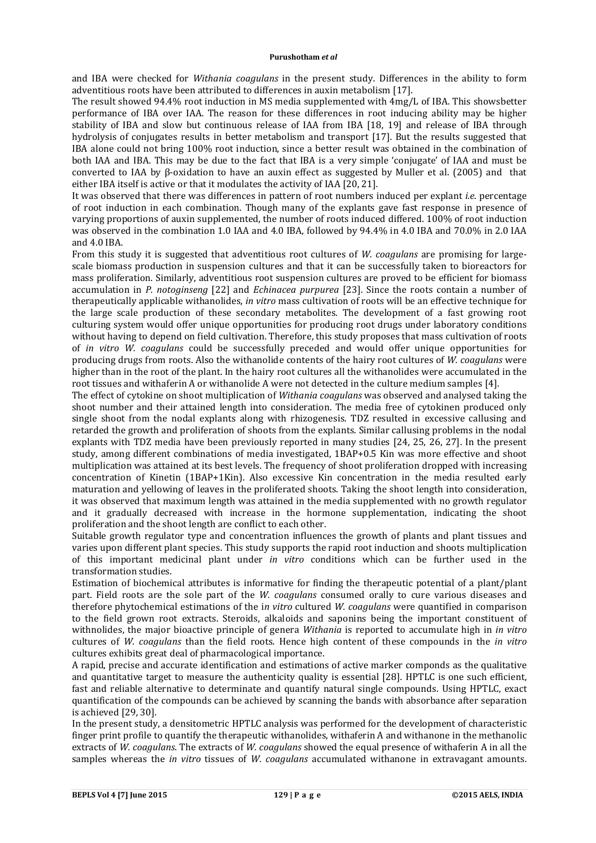and IBA were checked for *Withania coagulans* in the present study. Differences in the ability to form adventitious roots have been attributed to differences in auxin metabolism [17].

The result showed 94.4% root induction in MS media supplemented with 4mg/L of IBA. This showsbetter performance of IBA over IAA. The reason for these differences in root inducing ability may be higher stability of IBA and slow but continuous release of IAA from IBA [18, 19] and release of IBA through hydrolysis of conjugates results in better metabolism and transport [17]. But the results suggested that IBA alone could not bring 100% root induction, since a better result was obtained in the combination of both IAA and IBA. This may be due to the fact that IBA is a very simple 'conjugate' of IAA and must be converted to IAA by β-oxidation to have an auxin effect as suggested by Muller et al. (2005) and that either IBA itself is active or that it modulates the activity of IAA [20, 21].

It was observed that there was differences in pattern of root numbers induced per explant *i.e*. percentage of root induction in each combination. Though many of the explants gave fast response in presence of varying proportions of auxin supplemented, the number of roots induced differed. 100% of root induction was observed in the combination 1.0 IAA and 4.0 IBA, followed by 94.4% in 4.0 IBA and 70.0% in 2.0 IAA and 4.0 IBA.

From this study it is suggested that adventitious root cultures of *W. coagulans* are promising for largescale biomass production in suspension cultures and that it can be successfully taken to bioreactors for mass proliferation. Similarly, adventitious root suspension cultures are proved to be efficient for biomass accumulation in *P. notoginseng* [22] and *Echinacea purpurea* [23]. Since the roots contain a number of therapeutically applicable withanolides, *in vitro* mass cultivation of roots will be an effective technique for the large scale production of these secondary metabolites. The development of a fast growing root culturing system would offer unique opportunities for producing root drugs under laboratory conditions without having to depend on field cultivation. Therefore, this study proposes that mass cultivation of roots of *in vitro W. coagulans* could be successfully preceded and would offer unique opportunities for producing drugs from roots. Also the withanolide contents of the hairy root cultures of *W. coagulans* were higher than in the root of the plant. In the hairy root cultures all the withanolides were accumulated in the root tissues and withaferin A or withanolide A were not detected in the culture medium samples [4].

The effect of cytokine on shoot multiplication of *Withania coagulans* was observed and analysed taking the shoot number and their attained length into consideration. The media free of cytokinen produced only single shoot from the nodal explants along with rhizogenesis. TDZ resulted in excessive callusing and retarded the growth and proliferation of shoots from the explants. Similar callusing problems in the nodal explants with TDZ media have been previously reported in many studies [24, 25, 26, 27]. In the present study, among different combinations of media investigated, 1BAP+0.5 Kin was more effective and shoot multiplication was attained at its best levels. The frequency of shoot proliferation dropped with increasing concentration of Kinetin (1BAP+1Kin). Also excessive Kin concentration in the media resulted early maturation and yellowing of leaves in the proliferated shoots. Taking the shoot length into consideration, it was observed that maximum length was attained in the media supplemented with no growth regulator and it gradually decreased with increase in the hormone supplementation, indicating the shoot proliferation and the shoot length are conflict to each other.

Suitable growth regulator type and concentration influences the growth of plants and plant tissues and varies upon different plant species. This study supports the rapid root induction and shoots multiplication of this important medicinal plant under *in vitro* conditions which can be further used in the transformation studies.

Estimation of biochemical attributes is informative for finding the therapeutic potential of a plant/plant part. Field roots are the sole part of the *W. coagulans* consumed orally to cure various diseases and therefore phytochemical estimations of the i*n vitro* cultured *W. coagulans* were quantified in comparison to the field grown root extracts. Steroids, alkaloids and saponins being the important constituent of withnolides, the major bioactive principle of genera *Withania* is reported to accumulate high in *in vitro* cultures of *W. coagulans* than the field roots. Hence high content of these compounds in the *in vitro* cultures exhibits great deal of pharmacological importance.

A rapid, precise and accurate identification and estimations of active marker componds as the qualitative and quantitative target to measure the authenticity quality is essential [28]. HPTLC is one such efficient, fast and reliable alternative to determinate and quantify natural single compounds. Using HPTLC, exact quantification of the compounds can be achieved by scanning the bands with absorbance after separation is achieved [29, 30].

In the present study, a densitometric HPTLC analysis was performed for the development of characteristic finger print profile to quantify the therapeutic withanolides, withaferin A and withanone in the methanolic extracts of *W. coagulans*. The extracts of *W. coagulans* showed the equal presence of withaferin A in all the samples whereas the *in vitro* tissues of *W. coagulans* accumulated withanone in extravagant amounts.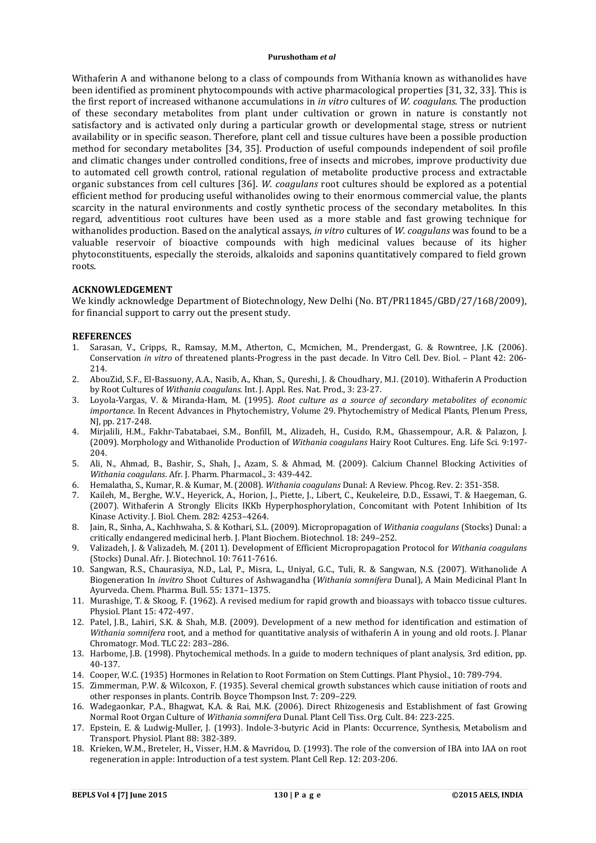Withaferin A and withanone belong to a class of compounds from Withania known as withanolides have been identified as prominent phytocompounds with active pharmacological properties [31, 32, 33]. This is the first report of increased withanone accumulations in *in vitro* cultures of *W. coagulans*. The production of these secondary metabolites from plant under cultivation or grown in nature is constantly not satisfactory and is activated only during a particular growth or developmental stage, stress or nutrient availability or in specific season. Therefore, plant cell and tissue cultures have been a possible production method for secondary metabolites [34, 35]. Production of useful compounds independent of soil profile and climatic changes under controlled conditions, free of insects and microbes, improve productivity due to automated cell growth control, rational regulation of metabolite productive process and extractable organic substances from cell cultures [36]. *W. coagulans* root cultures should be explored as a potential efficient method for producing useful withanolides owing to their enormous commercial value, the plants scarcity in the natural environments and costly synthetic process of the secondary metabolites. In this regard, adventitious root cultures have been used as a more stable and fast growing technique for withanolides production. Based on the analytical assays, *in vitro* cultures of *W. coagulans* was found to be a valuable reservoir of bioactive compounds with high medicinal values because of its higher phytoconstituents, especially the steroids, alkaloids and saponins quantitatively compared to field grown roots.

### **ACKNOWLEDGEMENT**

We kindly acknowledge Department of Biotechnology, New Delhi (No. BT/PR11845/GBD/27/168/2009), for financial support to carry out the present study.

#### **REFERENCES**

- 1. Sarasan, V., Cripps, R., Ramsay, M.M., Atherton, C., Mcmichen, M., Prendergast, G. & Rowntree, J.K. (2006). Conservation *in vitro* of threatened plants-Progress in the past decade. In Vitro Cell. Dev. Biol. – Plant 42: 206- 214.
- 2. AbouZid, S.F., El-Bassuony, A.A., Nasib, A., Khan, S., Qureshi, J. & Choudhary, M.I. (2010). Withaferin A Production by Root Cultures of *Withania coagulans.* Int. J. Appl. Res. Nat. Prod., 3: 23-27.
- 3. Loyola-Vargas, V. & Miranda-Ham, M. (1995). *Root culture as a source of secondary metabolites of economic importance*. In Recent Advances in Phytochemistry, Volume 29. Phytochemistry of Medical Plants, Plenum Press, NJ, pp. 217-248.
- 4. Mirjalili, H.M., Fakhr-Tabatabaei, S.M., Bonfill, M., Alizadeh, H., Cusido, R.M., Ghassempour, A.R. & Palazon, J. (2009). Morphology and Withanolide Production of *Withania coagulans* Hairy Root Cultures. Eng. Life Sci. 9:197- 204.
- 5. Ali, N., Ahmad, B., Bashir, S., Shah, J., Azam, S. & Ahmad, M. (2009). Calcium Channel Blocking Activities of *Withania coagulans*. Afr. J. Pharm. Pharmacol., 3: 439-442.
- 6. Hemalatha, S., Kumar, R. & Kumar, M. (2008). *Withania coagulans* Dunal: A Review. Phcog. Rev. 2: 351-358.
- 7. Kaileh, M., Berghe, W.V., Heyerick, A., Horion, J., Piette, J., Libert, C., Keukeleire, D.D., Essawi, T. & Haegeman, G. (2007). Withaferin A Strongly Elicits IKKb Hyperphosphorylation, Concomitant with Potent Inhibition of Its Kinase Activity. J. Biol. Chem. 282: 4253–4264.
- 8. Jain, R., Sinha, A., Kachhwaha, S. & Kothari, S.L. (2009). Micropropagation of *Withania coagulans* (Stocks) Dunal: a critically endangered medicinal herb. J. Plant Biochem. Biotechnol. 18: 249–252.
- 9. Valizadeh, J. & Valizadeh, M. (2011). Development of Efficient Micropropagation Protocol for *Withania coagulans*  (Stocks) Dunal. Afr. J. Biotechnol. 10: 7611-7616.
- 10. Sangwan, R.S., Chaurasiya, N.D., Lal, P., Misra, L., Uniyal, G.C., Tuli, R. & Sangwan, N.S. (2007). Withanolide A Biogeneration In *invitro* Shoot Cultures of Ashwagandha (*Withania somnifera* Dunal), A Main Medicinal Plant In Ayurveda. Chem. Pharma. Bull. 55: 1371–1375.
- 11. Murashige, T. & Skoog, F. (1962). A revised medium for rapid growth and bioassays with tobacco tissue cultures. Physiol. Plant 15: 472-497.
- 12. Patel, J.B., Lahiri, S.K. & Shah, M.B. (2009). Development of a new method for identification and estimation of *Withania somnifera* root, and a method for quantitative analysis of withaferin A in young and old roots. J. Planar Chromatogr. Mod. TLC 22: 283–286.
- 13. Harbome, J.B. (1998). Phytochemical methods. In a guide to modern techniques of plant analysis, 3rd edition, pp. 40-137.
- 14. Cooper, W.C. (1935) Hormones in Relation to Root Formation on Stem Cuttings. Plant Physiol., 10: 789-794.
- 15. Zimmerman, P.W. & Wilcoxon, F. (1935). Several chemical growth substances which cause initiation of roots and other responses in plants. Contrib. Boyce Thompson Inst. 7: 209–229.
- 16. Wadegaonkar, P.A., Bhagwat, K.A. & Rai, M.K. (2006). Direct Rhizogenesis and Establishment of fast Growing Normal Root Organ Culture of *Withania somnifera* Dunal. Plant Cell Tiss. Org. Cult. 84: 223-225.
- 17. Epstein, E. & Ludwig-Muller, J. (1993). Indole-3-butyric Acid in Plants: Occurrence, Synthesis, Metabolism and Transport. Physiol. Plant 88: 382-389.
- 18. Krieken, W.M., Breteler, H., Visser, H.M. & Mavridou, D. (1993). The role of the conversion of IBA into IAA on root regeneration in apple: Introduction of a test system. Plant Cell Rep. 12: 203-206.